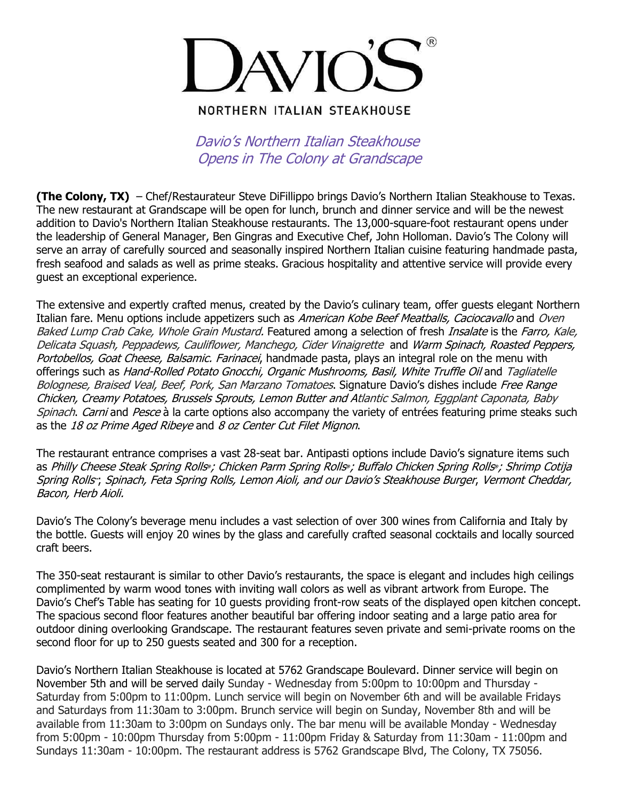

## **NORTHERN ITALIAN STEAKHOUSE**

Davio's Northern Italian Steakhouse Opens in The Colony at Grandscape

**(The Colony, TX)** – Chef/Restaurateur Steve DiFillippo brings Davio's Northern Italian Steakhouse to Texas. The new restaurant at Grandscape will be open for lunch, brunch and dinner service and will be the newest addition to Davio's Northern Italian Steakhouse restaurants. The 13,000-square-foot restaurant opens under the leadership of General Manager, Ben Gingras and Executive Chef, John Holloman. Davio's The Colony will serve an array of carefully sourced and seasonally inspired Northern Italian cuisine featuring handmade pasta, fresh seafood and salads as well as prime steaks. Gracious hospitality and attentive service will provide every guest an exceptional experience.

The extensive and expertly crafted menus, created by the Davio's culinary team, offer guests elegant Northern Italian fare. Menu options include appetizers such as American Kobe Beef Meatballs, Caciocavallo and Oven Baked Lump Crab Cake, Whole Grain Mustard. Featured among a selection of fresh Insalate is the Farro, Kale, Delicata Squash, Peppadews, Cauliflower, Manchego, Cider Vinaigrette and Warm Spinach, Roasted Peppers, Portobellos, Goat Cheese, Balsamic. Farinacei, handmade pasta, plays an integral role on the menu with offerings such as Hand-Rolled Potato Gnocchi, Organic Mushrooms, Basil, White Truffle Oil and Tagliatelle Bolognese, Braised Veal, Beef, Pork, San Marzano Tomatoes. Signature Davio's dishes include Free Range Chicken, Creamy Potatoes, Brussels Sprouts, Lemon Butter and Atlantic Salmon, Eggplant Caponata, Baby Spinach. Carni and Pesce à la carte options also accompany the variety of entrées featuring prime steaks such as the 18 oz Prime Aged Ribeye and 8 oz Center Cut Filet Mignon.

The restaurant entrance comprises a vast 28-seat bar. Antipasti options include Davio's signature items such as Philly Cheese Steak Spring Rolls **®** ; Chicken Parm Spring Rolls **®** ; Buffalo Chicken Spring Rolls **®** ; Shrimp Cotija Spring Rolls **™** ; Spinach, Feta Spring Rolls, Lemon Aioli, and our Davio's Steakhouse Burger, Vermont Cheddar, Bacon, Herb Aioli.

Davio's The Colony's beverage menu includes a vast selection of over 300 wines from California and Italy by the bottle. Guests will enjoy 20 wines by the glass and carefully crafted seasonal cocktails and locally sourced craft beers.

The 350-seat restaurant is similar to other Davio's restaurants, the space is elegant and includes high ceilings complimented by warm wood tones with inviting wall colors as well as vibrant artwork from Europe. The Davio's Chef's Table has seating for 10 guests providing front-row seats of the displayed open kitchen concept. The spacious second floor features another beautiful bar offering indoor seating and a large patio area for outdoor dining overlooking Grandscape. The restaurant features seven private and semi-private rooms on the second floor for up to 250 guests seated and 300 for a reception.

Davio's Northern Italian Steakhouse is located at 5762 Grandscape Boulevard. Dinner service will begin on November 5th and will be served daily Sunday - Wednesday from 5:00pm to 10:00pm and Thursday - Saturday from 5:00pm to 11:00pm. Lunch service will begin on November 6th and will be available Fridays and Saturdays from 11:30am to 3:00pm. Brunch service will begin on Sunday, November 8th and will be available from 11:30am to 3:00pm on Sundays only. The bar menu will be available Monday - Wednesday from 5:00pm - 10:00pm Thursday from 5:00pm - 11:00pm Friday & Saturday from 11:30am - 11:00pm and Sundays 11:30am - 10:00pm. The restaurant address is 5762 Grandscape Blvd, The Colony, TX 75056.